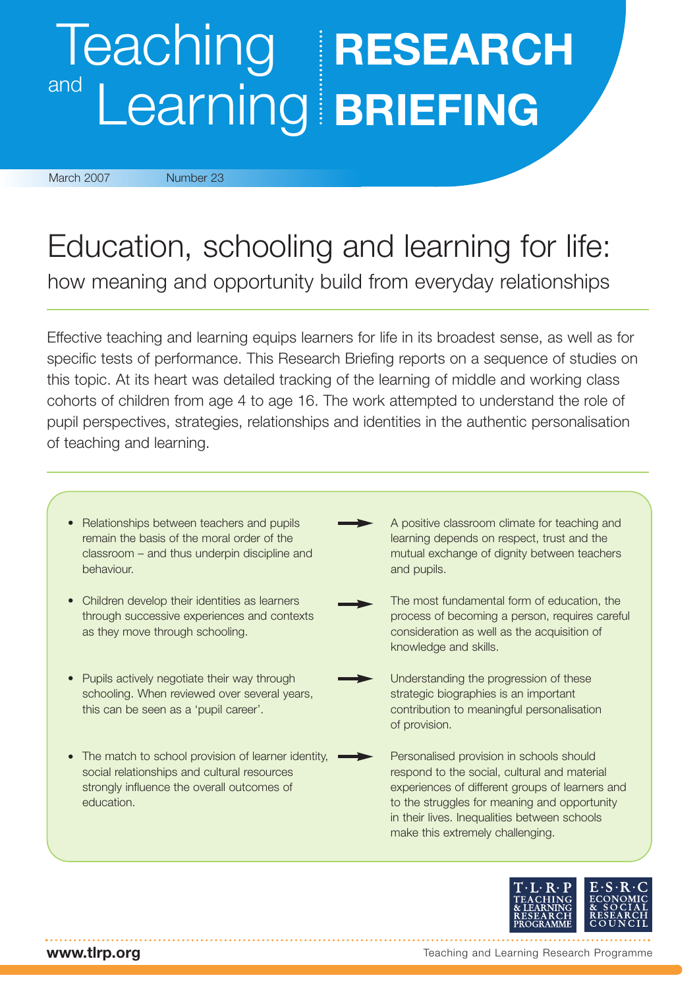## Teaching **RESEARCH** and Learning **BRIEFING**

March 2007 Number 23

## Education, schooling and learning for life:

how meaning and opportunity build from everyday relationships

Effective teaching and learning equips learners for life in its broadest sense, as well as for specific tests of performance. This Research Briefing reports on a sequence of studies on this topic. At its heart was detailed tracking of the learning of middle and working class cohorts of children from age 4 to age 16. The work attempted to understand the role of pupil perspectives, strategies, relationships and identities in the authentic personalisation of teaching and learning.

- Relationships between teachers and pupils remain the basis of the moral order of the classroom – and thus underpin discipline and behaviour.
- Children develop their identities as learners through successive experiences and contexts as they move through schooling.
- Pupils actively negotiate their way through schooling. When reviewed over several years, this can be seen as a 'pupil career'.
- The match to school provision of learner identity, **The State State State State State** Personalised provision in schools should social relationships and cultural resources strongly influence the overall outcomes of education.
- A positive classroom climate for teaching and learning depends on respect, trust and the mutual exchange of dignity between teachers and pupils.
- The most fundamental form of education, the process of becoming a person, requires careful consideration as well as the acquisition of knowledge and skills.
	- Understanding the progression of these strategic biographies is an important contribution to meaningful personalisation of provision.
	- respond to the social, cultural and material experiences of different groups of learners and to the struggles for meaning and opportunity in their lives. Inequalities between schools make this extremely challenging.



**www.tlrp.org**

Teaching and Learning Research Programme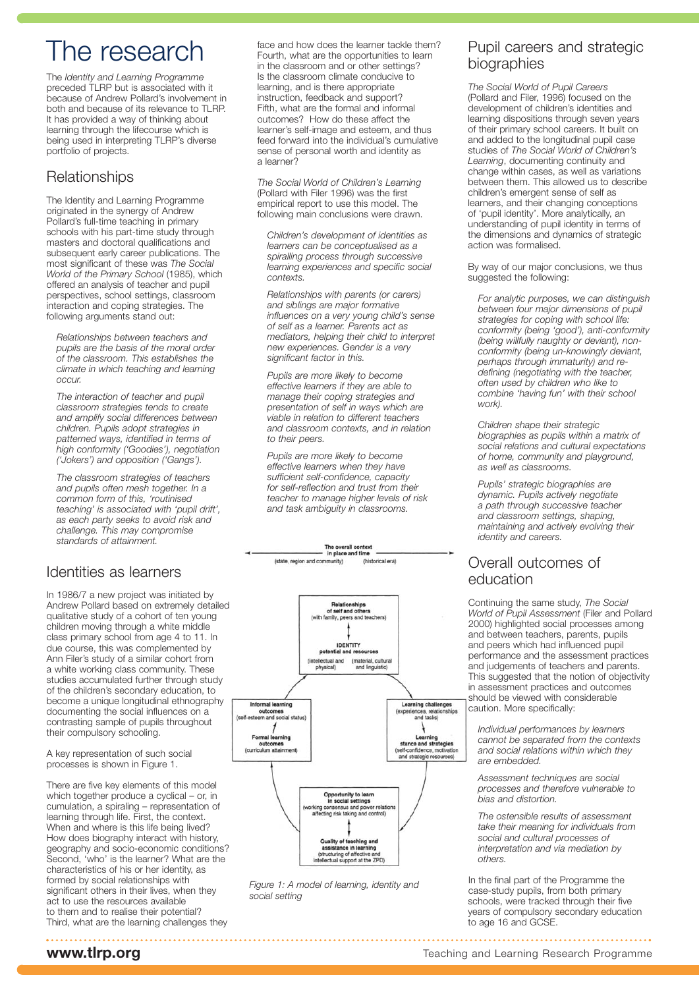## The research

The *Identity and Learning Programme* preceded TLRP but is associated with it because of Andrew Pollard's involvement in both and because of its relevance to TLRP. It has provided a way of thinking about learning through the lifecourse which is being used in interpreting TLRP's diverse portfolio of projects.

#### **Relationships**

The Identity and Learning Programme originated in the synergy of Andrew Pollard's full-time teaching in primary schools with his part-time study through masters and doctoral qualifications and subsequent early career publications. The most significant of these was *The Social World of the Primary School* (1985), which offered an analysis of teacher and pupil perspectives, school settings, classroom interaction and coping strategies. The following arguments stand out:

*Relationships between teachers and pupils are the basis of the moral order of the classroom. This establishes the climate in which teaching and learning occur.*

*The interaction of teacher and pupil classroom strategies tends to create and amplify social differences between children. Pupils adopt strategies in patterned ways, identified in terms of high conformity ('Goodies'), negotiation ('Jokers') and opposition ('Gangs').* 

*The classroom strategies of teachers and pupils often mesh together. In a common form of this, 'routinised teaching' is associated with 'pupil drift', as each party seeks to avoid risk and challenge. This may compromise standards of attainment.*

#### Identities as learners

In 1986/7 a new project was initiated by Andrew Pollard based on extremely detailed qualitative study of a cohort of ten young children moving through a white middle class primary school from age 4 to 11. In due course, this was complemented by Ann Filer's study of a similar cohort from a white working class community. These studies accumulated further through study of the children's secondary education, to become a unique longitudinal ethnography documenting the social influences on a contrasting sample of pupils throughout their compulsory schooling.

A key representation of such social processes is shown in Figure 1.

There are five key elements of this model which together produce a cyclical – or, in cumulation, a spiraling – representation of learning through life. First, the context. When and where is this life being lived? How does biography interact with history, geography and socio-economic conditions? Second, 'who' is the learner? What are the characteristics of his or her identity, as formed by social relationships with significant others in their lives, when they act to use the resources available to them and to realise their potential? Third, what are the learning challenges they

face and how does the learner tackle them? Fourth, what are the opportunities to learn in the classroom and or other settings? Is the classroom climate conducive to learning, and is there appropriate instruction, feedback and support? Fifth, what are the formal and informal outcomes? How do these affect the learner's self-image and esteem, and thus feed forward into the individual's cumulative sense of personal worth and identity as a learner?

*The Social World of Children's Learning* (Pollard with Filer 1996) was the first empirical report to use this model. The following main conclusions were drawn.

*Children's development of identities as learners can be conceptualised as a spiralling process through successive learning experiences and specific social contexts.*

*Relationships with parents (or carers) and siblings are major formative influences on a very young child's sense of self as a learner. Parents act as mediators, helping their child to interpret new experiences. Gender is a very significant factor in this.*

*Pupils are more likely to become effective learners if they are able to manage their coping strategies and presentation of self in ways which are viable in relation to different teachers and classroom contexts, and in relation to their peers.* 

*Pupils are more likely to become effective learners when they have sufficient self-confidence, capacity for self-reflection and trust from their teacher to manage higher levels of risk and task ambiguity in classrooms.* 



*Figure 1: A model of learning, identity and social setting*

#### Pupil careers and strategic biographies

*The Social World of Pupil Careers* (Pollard and Filer, 1996) focused on the development of children's identities and learning dispositions through seven years of their primary school careers. It built on and added to the longitudinal pupil case studies of *The Social World of Children's Learning*, documenting continuity and change within cases, as well as variations between them. This allowed us to describe children's emergent sense of self as learners, and their changing conceptions of 'pupil identity'. More analytically, an understanding of pupil identity in terms of the dimensions and dynamics of strategic action was formalised.

By way of our major conclusions, we thus suggested the following:

*For analytic purposes, we can distinguish between four major dimensions of pupil strategies for coping with school life: conformity (being 'good'), anti-conformity (being willfully naughty or deviant), nonconformity (being un-knowingly deviant, perhaps through immaturity) and redefining (negotiating with the teacher, often used by children who like to combine 'having fun' with their school work).*

*Children shape their strategic biographies as pupils within a matrix of social relations and cultural expectations of home, community and playground, as well as classrooms.* 

*Pupils' strategic biographies are dynamic. Pupils actively negotiate a path through successive teacher and classroom settings, shaping, maintaining and actively evolving their identity and careers.*

#### Overall outcomes of education

Continuing the same study, *The Social World of Pupil Assessment* (Filer and Pollard 2000) highlighted social processes among and between teachers, parents, pupils and peers which had influenced pupil performance and the assessment practices and judgements of teachers and parents. This suggested that the notion of objectivity in assessment practices and outcomes should be viewed with considerable caution. More specifically:

*Individual performances by learners cannot be separated from the contexts and social relations within which they are embedded.*

*Assessment techniques are social processes and therefore vulnerable to bias and distortion.*

*The ostensible results of assessment take their meaning for individuals from social and cultural processes of interpretation and via mediation by others.*

In the final part of the Programme the case-study pupils, from both primary schools, were tracked through their five years of compulsory secondary education to age 16 and GCSE.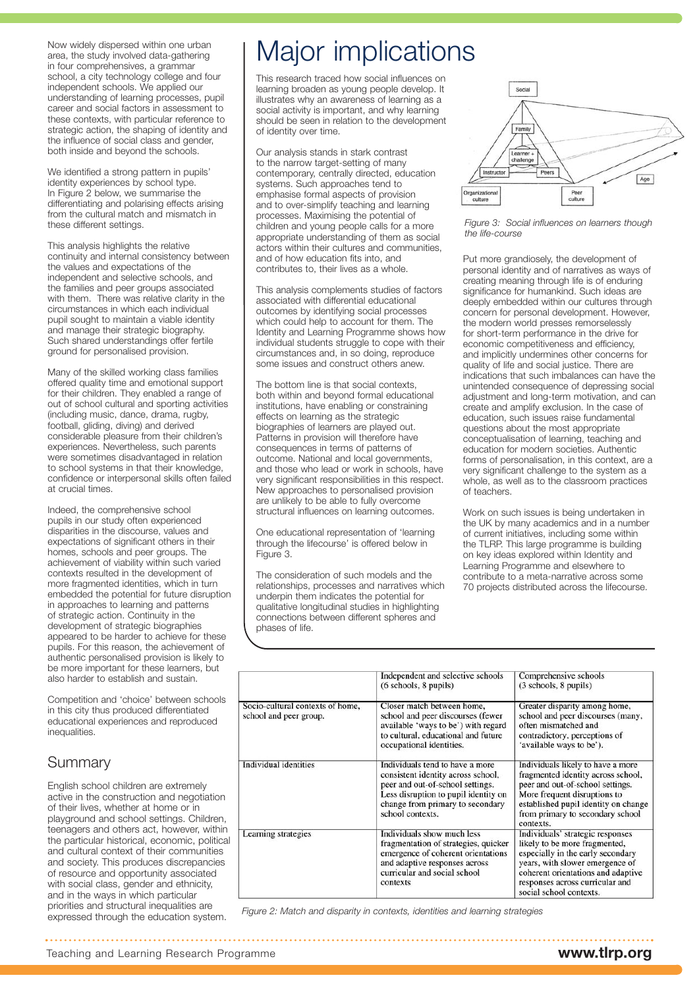Now widely dispersed within one urban area, the study involved data-gathering in four comprehensives, a grammar school, a city technology college and four independent schools. We applied our understanding of learning processes, pupil career and social factors in assessment to these contexts, with particular reference to strategic action, the shaping of identity and the influence of social class and gender, both inside and beyond the schools.

We identified a strong pattern in pupils' identity experiences by school type. In Figure 2 below, we summarise the differentiating and polarising effects arising from the cultural match and mismatch in these different settings.

This analysis highlights the relative continuity and internal consistency between the values and expectations of the independent and selective schools, and the families and peer groups associated with them. There was relative clarity in the circumstances in which each individual pupil sought to maintain a viable identity and manage their strategic biography. Such shared understandings offer fertile ground for personalised provision.

Many of the skilled working class families offered quality time and emotional support for their children. They enabled a range of out of school cultural and sporting activities (including music, dance, drama, rugby, football, gliding, diving) and derived considerable pleasure from their children's experiences. Nevertheless, such parents were sometimes disadvantaged in relation to school systems in that their knowledge, confidence or interpersonal skills often failed at crucial times.

Indeed, the comprehensive school pupils in our study often experienced disparities in the discourse, values and expectations of significant others in their homes, schools and peer groups. The achievement of viability within such varied contexts resulted in the development of more fragmented identities, which in turn embedded the potential for future disruption in approaches to learning and patterns of strategic action. Continuity in the development of strategic biographies appeared to be harder to achieve for these pupils. For this reason, the achievement of authentic personalised provision is likely to be more important for these learners, but also harder to establish and sustain.

Competition and 'choice' between schools in this city thus produced differentiated educational experiences and reproduced inequalities.

#### **Summary**

English school children are extremely active in the construction and negotiation of their lives, whether at home or in playground and school settings. Children, teenagers and others act, however, within the particular historical, economic, political and cultural context of their communities and society. This produces discrepancies of resource and opportunity associated with social class, gender and ethnicity, and in the ways in which particular priorities and structural inequalities are expressed through the education system.

## Major implications

This research traced how social influences on learning broaden as young people develop. It illustrates why an awareness of learning as a social activity is important, and why learning should be seen in relation to the development of identity over time.

Our analysis stands in stark contrast to the narrow target-setting of many contemporary, centrally directed, education systems. Such approaches tend to emphasise formal aspects of provision and to over-simplify teaching and learning processes. Maximising the potential of children and young people calls for a more appropriate understanding of them as social actors within their cultures and communities, and of how education fits into, and contributes to, their lives as a whole.

This analysis complements studies of factors associated with differential educational outcomes by identifying social processes which could help to account for them. The Identity and Learning Programme shows how individual students struggle to cope with their circumstances and, in so doing, reproduce some issues and construct others anew.

The bottom line is that social contexts, both within and beyond formal educational institutions, have enabling or constraining effects on learning as the strategic biographies of learners are played out. Patterns in provision will therefore have consequences in terms of patterns of outcome. National and local governments, and those who lead or work in schools, have very significant responsibilities in this respect. New approaches to personalised provision are unlikely to be able to fully overcome structural influences on learning outcomes.

One educational representation of 'learning through the lifecourse' is offered below in Figure 3.

The consideration of such models and the relationships, processes and narratives which underpin them indicates the potential for qualitative longitudinal studies in highlighting connections between different spheres and phases of life.



*Figure 3: Social influences on learners though the life-course*

Put more grandiosely, the development of personal identity and of narratives as ways of creating meaning through life is of enduring significance for humankind. Such ideas are deeply embedded within our cultures through concern for personal development. However, the modern world presses remorselessly for short-term performance in the drive for economic competitiveness and efficiency, and implicitly undermines other concerns for quality of life and social justice. There are indications that such imbalances can have the unintended consequence of depressing social adjustment and long-term motivation, and can create and amplify exclusion. In the case of education, such issues raise fundamental questions about the most appropriate conceptualisation of learning, teaching and education for modern societies. Authentic forms of personalisation, in this context, are a very significant challenge to the system as a whole, as well as to the classroom practices of teachers.

Work on such issues is being undertaken in the UK by many academics and in a number of current initiatives, including some within the TLRP. This large programme is building on key ideas explored within Identity and Learning Programme and elsewhere to contribute to a meta-narrative across some 70 projects distributed across the lifecourse.

|                                                            | Independent and selective schools<br>$(6$ schools, $8$ pupils)                                                                                                                                            | Comprehensive schools<br>(3 schools, 8 pupils)                                                                                                                                                                                                |
|------------------------------------------------------------|-----------------------------------------------------------------------------------------------------------------------------------------------------------------------------------------------------------|-----------------------------------------------------------------------------------------------------------------------------------------------------------------------------------------------------------------------------------------------|
| Socio-cultural contexts of home.<br>school and peer group. | Closer match between home.<br>school and peer discourses (fewer<br>available 'ways to be') with regard<br>to cultural, educational and future<br>occupational identities.                                 | Greater disparity among home,<br>school and peer discourses (many,<br>often mismatched and<br>contradictory, perceptions of<br>'available ways to be').                                                                                       |
| Individual identities                                      | Individuals tend to have a more<br>consistent identity across school,<br>peer and out-of-school settings.<br>Less disruption to pupil identity on<br>change from primary to secondary<br>school contexts. | Individuals likely to have a more<br>fragmented identity across school,<br>peer and out-of-school settings.<br>More frequent disruptions to<br>established pupil identity on change<br>from primary to secondary school<br>contexts.          |
| Learning strategies                                        | Individuals show much less<br>fragmentation of strategies, quicker<br>emergence of coherent orientations<br>and adaptive responses across<br>curricular and social school<br>contexts                     | Individuals' strategic responses<br>likely to be more fragmented,<br>especially in the early secondary<br>years, with slower emergence of<br>coherent orientations and adaptive<br>responses across curricular and<br>social school contexts. |

*Figure 2: Match and disparity in contexts, identities and learning strategies*